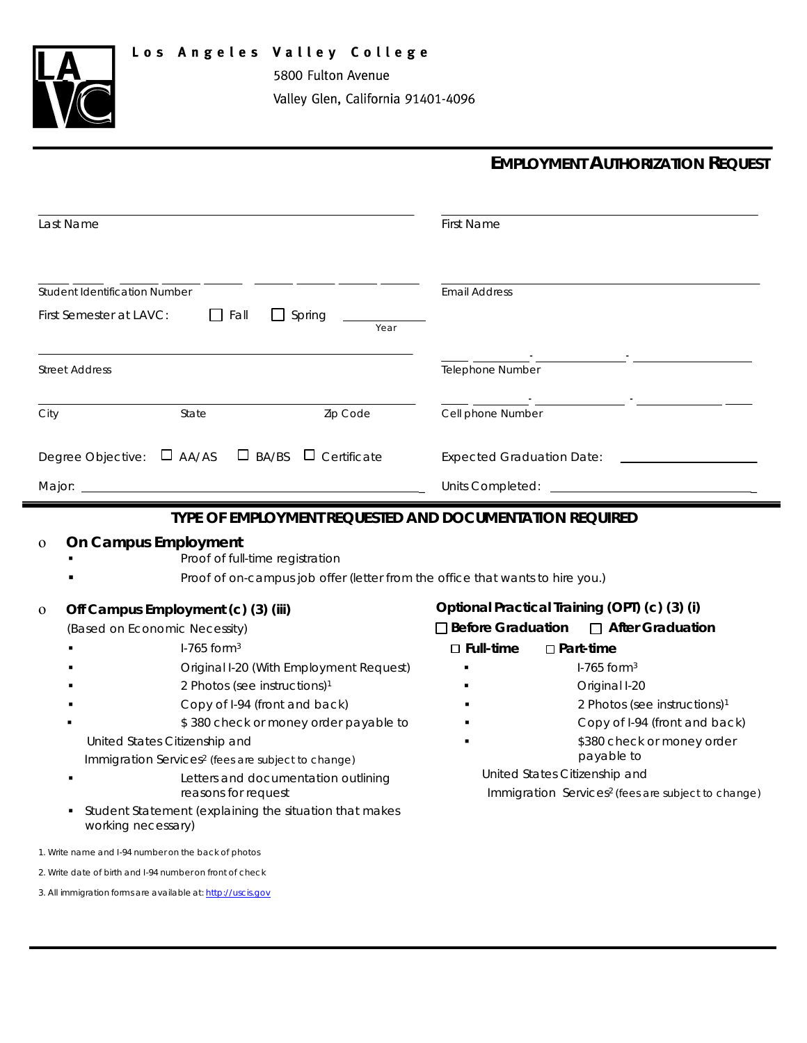



Valley Glen, California 91401-4096

5800 Fulton Avenue

## **EMPLOYMENT AUTHORIZATION REQUEST**

| Last Name                                                                                                                                               | <b>First Name</b>                                                                               |
|---------------------------------------------------------------------------------------------------------------------------------------------------------|-------------------------------------------------------------------------------------------------|
| <b>Student Identification Number</b>                                                                                                                    | <b>Email Address</b>                                                                            |
| First Semester at LAVC:<br>$\Box$ Spring<br>Fall<br>Year                                                                                                |                                                                                                 |
| <b>Street Address</b>                                                                                                                                   | Telephone Number                                                                                |
| Zip Code<br>City<br>State                                                                                                                               | Cell phone Number                                                                               |
| $\Box$ BA/BS $\Box$ Certificate<br>Degree Objective:<br>$\Box$ AA/AS                                                                                    | <b>Expected Graduation Date:</b>                                                                |
| Major:                                                                                                                                                  | Units Completed:                                                                                |
| On Campus Employment<br>$\mathbf 0$<br>Proof of full-time registration<br>Proof of on-campus job offer (letter from the office that wants to hire you.) |                                                                                                 |
| Off Campus Employment (c) (3) (iii)<br>$\mathbf{0}$                                                                                                     | Optional Practical Training (OPT) (c) (3) (i)                                                   |
| (Based on Economic Necessity)                                                                                                                           | □ Before Graduation<br>$\Box$ After Graduation                                                  |
| $1-765$ form <sup>3</sup>                                                                                                                               | $\square$ Full-time<br>$\Box$ Part-time                                                         |
| Original I-20 (With Employment Request)                                                                                                                 | $1-765$ form <sup>3</sup>                                                                       |
| 2 Photos (see instructions) <sup>1</sup>                                                                                                                | Original I-20                                                                                   |
| Copy of I-94 (front and back)                                                                                                                           | 2 Photos (see instructions) <sup>1</sup>                                                        |
| \$380 check or money order payable to                                                                                                                   | Copy of I-94 (front and back)                                                                   |
| United States Citizenship and                                                                                                                           | \$380 check or money order                                                                      |
| Immigration Services <sup>2</sup> (fees are subject to change)                                                                                          | payable to                                                                                      |
| Letters and documentation outlining<br>reasons for request                                                                                              | United States Citizenship and<br>Immigration Services <sup>2</sup> (fees are subject to change) |
| Student Statement (explaining the situation that makes<br>working necessary)                                                                            |                                                                                                 |
| 1. Write name and I-94 number on the back of photos                                                                                                     |                                                                                                 |
| 2. Write date of birth and I-94 number on front of check                                                                                                |                                                                                                 |

3. All immigration forms are available at: [http://uscis.gov](http://uscis.gov/)